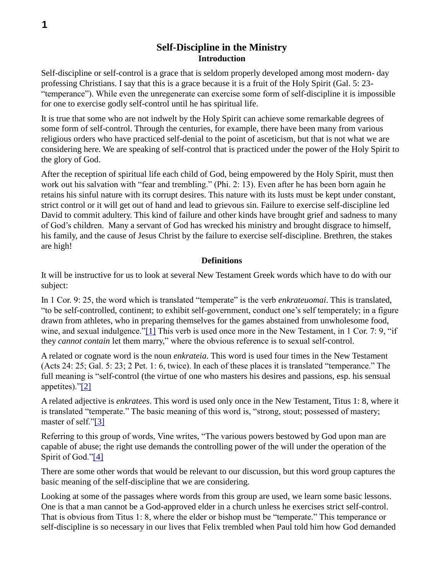# **Self-Discipline in the Ministry Introduction**

Self-discipline or self-control is a grace that is seldom properly developed among most modern- day professing Christians. I say that this is a grace because it is a fruit of the Holy Spirit (Gal. 5: 23- "temperance"). While even the unregenerate can exercise some form of self-discipline it is impossible for one to exercise godly self-control until he has spiritual life.

It is true that some who are not indwelt by the Holy Spirit can achieve some remarkable degrees of some form of self-control. Through the centuries, for example, there have been many from various religious orders who have practiced self-denial to the point of asceticism, but that is not what we are considering here. We are speaking of self-control that is practiced under the power of the Holy Spirit to the glory of God.

After the reception of spiritual life each child of God, being empowered by the Holy Spirit, must then work out his salvation with "fear and trembling." (Phi. 2: 13). Even after he has been born again he retains his sinful nature with its corrupt desires. This nature with its lusts must be kept under constant, strict control or it will get out of hand and lead to grievous sin. Failure to exercise self-discipline led David to commit adultery. This kind of failure and other kinds have brought grief and sadness to many of God's children. Many a servant of God has wrecked his ministry and brought disgrace to himself, his family, and the cause of Jesus Christ by the failure to exercise self-discipline. Brethren, the stakes are high!

# **Definitions**

It will be instructive for us to look at several New Testament Greek words which have to do with our subject:

In 1 Cor. 9: 25, the word which is translated "temperate" is the verb *enkrateuomai*. This is translated, "to be self-controlled, continent; to exhibit self-government, conduct one's self temperately; in a figure drawn from athletes, who in preparing themselves for the games abstained from unwholesome food, wine, and sexual indulgence."[1] This verb is used once more in the New Testament, in 1 Cor. 7: 9, "if they *cannot contain* let them marry," where the obvious reference is to sexual self-control.

A related or cognate word is the noun *enkrateia*. This word is used four times in the New Testament (Acts 24: 25; Gal. 5: 23; 2 Pet. 1: 6, twice). In each of these places it is translated "temperance." The full meaning is "self-control (the virtue of one who masters his desires and passions, esp. his sensual appetites)."[2]

A related adjective is *enkratees*. This word is used only once in the New Testament, Titus 1: 8, where it is translated "temperate." The basic meaning of this word is, "strong, stout; possessed of mastery; master of self."[3]

Referring to this group of words, Vine writes, "The various powers bestowed by God upon man are capable of abuse; the right use demands the controlling power of the will under the operation of the Spirit of God."[4]

There are some other words that would be relevant to our discussion, but this word group captures the basic meaning of the self-discipline that we are considering.

Looking at some of the passages where words from this group are used, we learn some basic lessons. One is that a man cannot be a God-approved elder in a church unless he exercises strict self-control. That is obvious from Titus 1: 8, where the elder or bishop must be "temperate." This temperance or self-discipline is so necessary in our lives that Felix trembled when Paul told him how God demanded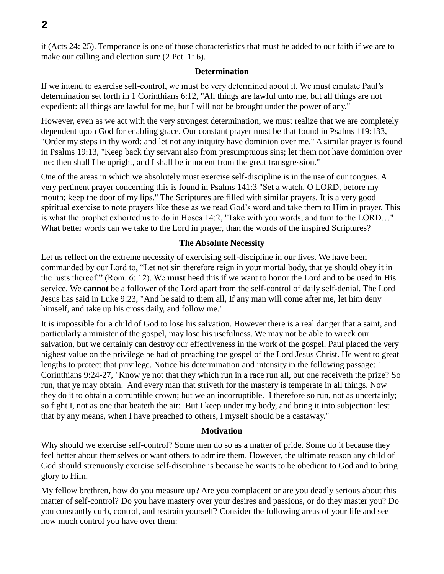it (Acts 24: 25). Temperance is one of those characteristics that must be added to our faith if we are to make our calling and election sure (2 Pet. 1: 6).

### **Determination**

If we intend to exercise self-control, we must be very determined about it. We must emulate Paul's determination set forth in 1 Corinthians 6:12, "All things are lawful unto me, but all things are not expedient: all things are lawful for me, but I will not be brought under the power of any."

However, even as we act with the very strongest determination, we must realize that we are completely dependent upon God for enabling grace. Our constant prayer must be that found in Psalms 119:133, "Order my steps in thy word: and let not any iniquity have dominion over me." A similar prayer is found in Psalms 19:13, "Keep back thy servant also from presumptuous sins; let them not have dominion over me: then shall I be upright, and I shall be innocent from the great transgression."

One of the areas in which we absolutely must exercise self-discipline is in the use of our tongues. A very pertinent prayer concerning this is found in Psalms 141:3 "Set a watch, O LORD, before my mouth; keep the door of my lips." The Scriptures are filled with similar prayers. It is a very good spiritual exercise to note prayers like these as we read God's word and take them to Him in prayer. This is what the prophet exhorted us to do in Hosea 14:2, "Take with you words, and turn to the LORD…" What better words can we take to the Lord in prayer, than the words of the inspired Scriptures?

# **The Absolute Necessity**

Let us reflect on the extreme necessity of exercising self-discipline in our lives. We have been commanded by our Lord to, "Let not sin therefore reign in your mortal body, that ye should obey it in the lusts thereof." (Rom. 6: 12). We **must** heed this if we want to honor the Lord and to be used in His service. We **cannot** be a follower of the Lord apart from the self-control of daily self-denial. The Lord Jesus has said in Luke 9:23, "And he said to them all, If any man will come after me, let him deny himself, and take up his cross daily, and follow me."

It is impossible for a child of God to lose his salvation. However there is a real danger that a saint, and particularly a minister of the gospel, may lose his usefulness. We may not be able to wreck our salvation, but we certainly can destroy our effectiveness in the work of the gospel. Paul placed the very highest value on the privilege he had of preaching the gospel of the Lord Jesus Christ. He went to great lengths to protect that privilege. Notice his determination and intensity in the following passage: 1 Corinthians 9:24-27, "Know ye not that they which run in a race run all, but one receiveth the prize? So run, that ye may obtain. And every man that striveth for the mastery is temperate in all things. Now they do it to obtain a corruptible crown; but we an incorruptible. I therefore so run, not as uncertainly; so fight I, not as one that beateth the air: But I keep under my body, and bring it into subjection: lest that by any means, when I have preached to others, I myself should be a castaway."

### **Motivation**

Why should we exercise self-control? Some men do so as a matter of pride. Some do it because they feel better about themselves or want others to admire them. However, the ultimate reason any child of God should strenuously exercise self-discipline is because he wants to be obedient to God and to bring glory to Him.

My fellow brethren, how do you measure up? Are you complacent or are you deadly serious about this matter of self-control? Do you have mastery over your desires and passions, or do they master you? Do you constantly curb, control, and restrain yourself? Consider the following areas of your life and see how much control you have over them: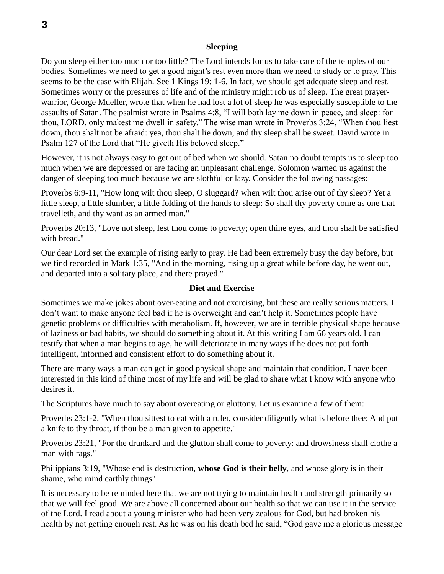#### **Sleeping**

Do you sleep either too much or too little? The Lord intends for us to take care of the temples of our bodies. Sometimes we need to get a good night's rest even more than we need to study or to pray. This seems to be the case with Elijah. See 1 Kings 19: 1-6. In fact, we should get adequate sleep and rest. Sometimes worry or the pressures of life and of the ministry might rob us of sleep. The great prayerwarrior, George Mueller, wrote that when he had lost a lot of sleep he was especially susceptible to the assaults of Satan. The psalmist wrote in Psalms 4:8, "I will both lay me down in peace, and sleep: for thou, LORD, only makest me dwell in safety." The wise man wrote in Proverbs 3:24, "When thou liest down, thou shalt not be afraid: yea, thou shalt lie down, and thy sleep shall be sweet. David wrote in Psalm 127 of the Lord that "He giveth His beloved sleep."

However, it is not always easy to get out of bed when we should. Satan no doubt tempts us to sleep too much when we are depressed or are facing an unpleasant challenge. Solomon warned us against the danger of sleeping too much because we are slothful or lazy. Consider the following passages:

Proverbs 6:9-11, "How long wilt thou sleep, O sluggard? when wilt thou arise out of thy sleep? Yet a little sleep, a little slumber, a little folding of the hands to sleep: So shall thy poverty come as one that travelleth, and thy want as an armed man."

Proverbs 20:13, "Love not sleep, lest thou come to poverty; open thine eyes, and thou shalt be satisfied with bread."

Our dear Lord set the example of rising early to pray. He had been extremely busy the day before, but we find recorded in Mark 1:35, "And in the morning, rising up a great while before day, he went out, and departed into a solitary place, and there prayed."

#### **Diet and Exercise**

Sometimes we make jokes about over-eating and not exercising, but these are really serious matters. I don't want to make anyone feel bad if he is overweight and can't help it. Sometimes people have genetic problems or difficulties with metabolism. If, however, we are in terrible physical shape because of laziness or bad habits, we should do something about it. At this writing I am 66 years old. I can testify that when a man begins to age, he will deteriorate in many ways if he does not put forth intelligent, informed and consistent effort to do something about it.

There are many ways a man can get in good physical shape and maintain that condition. I have been interested in this kind of thing most of my life and will be glad to share what I know with anyone who desires it.

The Scriptures have much to say about overeating or gluttony. Let us examine a few of them:

Proverbs 23:1-2, "When thou sittest to eat with a ruler, consider diligently what is before thee: And put a knife to thy throat, if thou be a man given to appetite."

Proverbs 23:21, "For the drunkard and the glutton shall come to poverty: and drowsiness shall clothe a man with rags."

Philippians 3:19, "Whose end is destruction, **whose God is their belly**, and whose glory is in their shame, who mind earthly things"

It is necessary to be reminded here that we are not trying to maintain health and strength primarily so that we will feel good. We are above all concerned about our health so that we can use it in the service of the Lord. I read about a young minister who had been very zealous for God, but had broken his health by not getting enough rest. As he was on his death bed he said, "God gave me a glorious message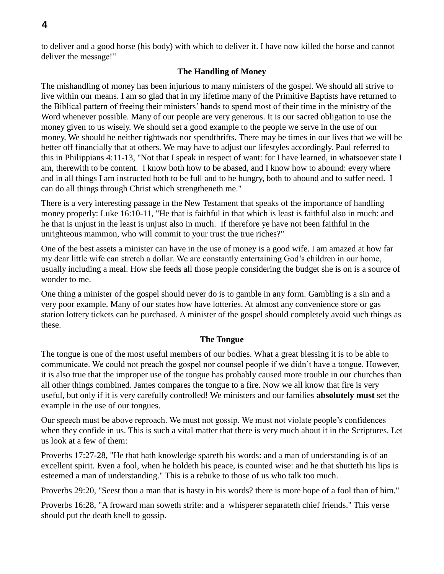to deliver and a good horse (his body) with which to deliver it. I have now killed the horse and cannot deliver the message!"

# **The Handling of Money**

The mishandling of money has been injurious to many ministers of the gospel. We should all strive to live within our means. I am so glad that in my lifetime many of the Primitive Baptists have returned to the Biblical pattern of freeing their ministers' hands to spend most of their time in the ministry of the Word whenever possible. Many of our people are very generous. It is our sacred obligation to use the money given to us wisely. We should set a good example to the people we serve in the use of our money. We should be neither tightwads nor spendthrifts. There may be times in our lives that we will be better off financially that at others. We may have to adjust our lifestyles accordingly. Paul referred to this in Philippians 4:11-13, "Not that I speak in respect of want: for I have learned, in whatsoever state I am, therewith to be content. I know both how to be abased, and I know how to abound: every where and in all things I am instructed both to be full and to be hungry, both to abound and to suffer need. I can do all things through Christ which strengtheneth me."

There is a very interesting passage in the New Testament that speaks of the importance of handling money properly: Luke 16:10-11, "He that is faithful in that which is least is faithful also in much: and he that is unjust in the least is unjust also in much. If therefore ye have not been faithful in the unrighteous mammon, who will commit to your trust the true riches?"

One of the best assets a minister can have in the use of money is a good wife. I am amazed at how far my dear little wife can stretch a dollar. We are constantly entertaining God's children in our home, usually including a meal. How she feeds all those people considering the budget she is on is a source of wonder to me.

One thing a minister of the gospel should never do is to gamble in any form. Gambling is a sin and a very poor example. Many of our states how have lotteries. At almost any convenience store or gas station lottery tickets can be purchased. A minister of the gospel should completely avoid such things as these.

# **The Tongue**

The tongue is one of the most useful members of our bodies. What a great blessing it is to be able to communicate. We could not preach the gospel nor counsel people if we didn't have a tongue. However, it is also true that the improper use of the tongue has probably caused more trouble in our churches than all other things combined. James compares the tongue to a fire. Now we all know that fire is very useful, but only if it is very carefully controlled! We ministers and our families **absolutely must** set the example in the use of our tongues.

Our speech must be above reproach. We must not gossip. We must not violate people's confidences when they confide in us. This is such a vital matter that there is very much about it in the Scriptures. Let us look at a few of them:

Proverbs 17:27-28, "He that hath knowledge spareth his words: and a man of understanding is of an excellent spirit. Even a fool, when he holdeth his peace, is counted wise: and he that shutteth his lips is esteemed a man of understanding." This is a rebuke to those of us who talk too much.

Proverbs 29:20, "Seest thou a man that is hasty in his words? there is more hope of a fool than of him."

Proverbs 16:28, "A froward man soweth strife: and a whisperer separateth chief friends." This verse should put the death knell to gossip.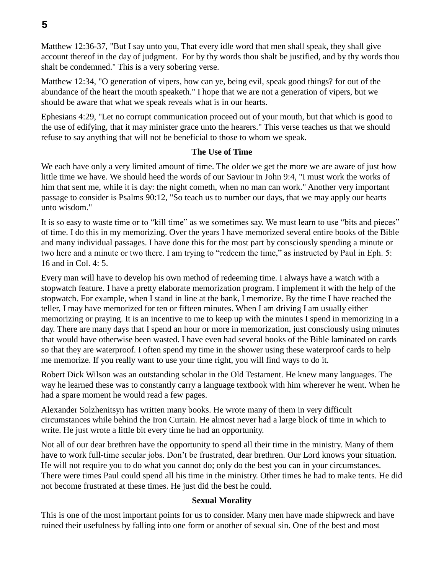Matthew 12:36-37, "But I say unto you, That every idle word that men shall speak, they shall give account thereof in the day of judgment. For by thy words thou shalt be justified, and by thy words thou shalt be condemned." This is a very sobering verse.

Matthew 12:34, "O generation of vipers, how can ye, being evil, speak good things? for out of the abundance of the heart the mouth speaketh." I hope that we are not a generation of vipers, but we should be aware that what we speak reveals what is in our hearts.

Ephesians 4:29, "Let no corrupt communication proceed out of your mouth, but that which is good to the use of edifying, that it may minister grace unto the hearers." This verse teaches us that we should refuse to say anything that will not be beneficial to those to whom we speak.

## **The Use of Time**

We each have only a very limited amount of time. The older we get the more we are aware of just how little time we have. We should heed the words of our Saviour in John 9:4, "I must work the works of him that sent me, while it is day: the night cometh, when no man can work." Another very important passage to consider is Psalms 90:12, "So teach us to number our days, that we may apply our hearts unto wisdom."

It is so easy to waste time or to "kill time" as we sometimes say. We must learn to use "bits and pieces" of time. I do this in my memorizing. Over the years I have memorized several entire books of the Bible and many individual passages. I have done this for the most part by consciously spending a minute or two here and a minute or two there. I am trying to "redeem the time," as instructed by Paul in Eph. 5: 16 and in Col. 4: 5.

Every man will have to develop his own method of redeeming time. I always have a watch with a stopwatch feature. I have a pretty elaborate memorization program. I implement it with the help of the stopwatch. For example, when I stand in line at the bank, I memorize. By the time I have reached the teller, I may have memorized for ten or fifteen minutes. When I am driving I am usually either memorizing or praying. It is an incentive to me to keep up with the minutes I spend in memorizing in a day. There are many days that I spend an hour or more in memorization, just consciously using minutes that would have otherwise been wasted. I have even had several books of the Bible laminated on cards so that they are waterproof. I often spend my time in the shower using these waterproof cards to help me memorize. If you really want to use your time right, you will find ways to do it.

Robert Dick Wilson was an outstanding scholar in the Old Testament. He knew many languages. The way he learned these was to constantly carry a language textbook with him wherever he went. When he had a spare moment he would read a few pages.

Alexander Solzhenitsyn has written many books. He wrote many of them in very difficult circumstances while behind the Iron Curtain. He almost never had a large block of time in which to write. He just wrote a little bit every time he had an opportunity.

Not all of our dear brethren have the opportunity to spend all their time in the ministry. Many of them have to work full-time secular jobs. Don't be frustrated, dear brethren. Our Lord knows your situation. He will not require you to do what you cannot do; only do the best you can in your circumstances. There were times Paul could spend all his time in the ministry. Other times he had to make tents. He did not become frustrated at these times. He just did the best he could.

# **Sexual Morality**

This is one of the most important points for us to consider. Many men have made shipwreck and have ruined their usefulness by falling into one form or another of sexual sin. One of the best and most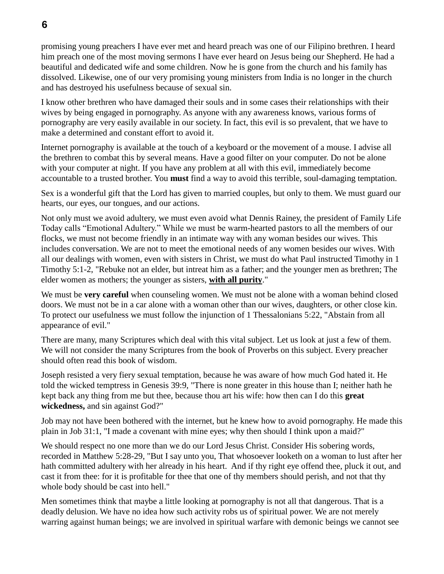promising young preachers I have ever met and heard preach was one of our Filipino brethren. I heard him preach one of the most moving sermons I have ever heard on Jesus being our Shepherd. He had a beautiful and dedicated wife and some children. Now he is gone from the church and his family has dissolved. Likewise, one of our very promising young ministers from India is no longer in the church and has destroyed his usefulness because of sexual sin.

I know other brethren who have damaged their souls and in some cases their relationships with their wives by being engaged in pornography. As anyone with any awareness knows, various forms of pornography are very easily available in our society. In fact, this evil is so prevalent, that we have to make a determined and constant effort to avoid it.

Internet pornography is available at the touch of a keyboard or the movement of a mouse. I advise all the brethren to combat this by several means. Have a good filter on your computer. Do not be alone with your computer at night. If you have any problem at all with this evil, immediately become accountable to a trusted brother. You **must** find a way to avoid this terrible, soul-damaging temptation.

Sex is a wonderful gift that the Lord has given to married couples, but only to them. We must guard our hearts, our eyes, our tongues, and our actions.

Not only must we avoid adultery, we must even avoid what Dennis Rainey, the president of Family Life Today calls "Emotional Adultery." While we must be warm-hearted pastors to all the members of our flocks, we must not become friendly in an intimate way with any woman besides our wives. This includes conversation. We are not to meet the emotional needs of any women besides our wives. With all our dealings with women, even with sisters in Christ, we must do what Paul instructed Timothy in 1 Timothy 5:1-2, "Rebuke not an elder, but intreat him as a father; and the younger men as brethren; The elder women as mothers; the younger as sisters, **with all purity**."

We must be **very careful** when counseling women. We must not be alone with a woman behind closed doors. We must not be in a car alone with a woman other than our wives, daughters, or other close kin. To protect our usefulness we must follow the injunction of 1 Thessalonians 5:22, "Abstain from all appearance of evil."

There are many, many Scriptures which deal with this vital subject. Let us look at just a few of them. We will not consider the many Scriptures from the book of Proverbs on this subject. Every preacher should often read this book of wisdom.

Joseph resisted a very fiery sexual temptation, because he was aware of how much God hated it. He told the wicked temptress in Genesis 39:9, "There is none greater in this house than I; neither hath he kept back any thing from me but thee, because thou art his wife: how then can I do this **great wickedness,** and sin against God?"

Job may not have been bothered with the internet, but he knew how to avoid pornography. He made this plain in Job 31:1, "I made a covenant with mine eyes; why then should I think upon a maid?"

We should respect no one more than we do our Lord Jesus Christ. Consider His sobering words, recorded in Matthew 5:28-29, "But I say unto you, That whosoever looketh on a woman to lust after her hath committed adultery with her already in his heart. And if thy right eye offend thee, pluck it out, and cast it from thee: for it is profitable for thee that one of thy members should perish, and not that thy whole body should be cast into hell."

Men sometimes think that maybe a little looking at pornography is not all that dangerous. That is a deadly delusion. We have no idea how such activity robs us of spiritual power. We are not merely warring against human beings; we are involved in spiritual warfare with demonic beings we cannot see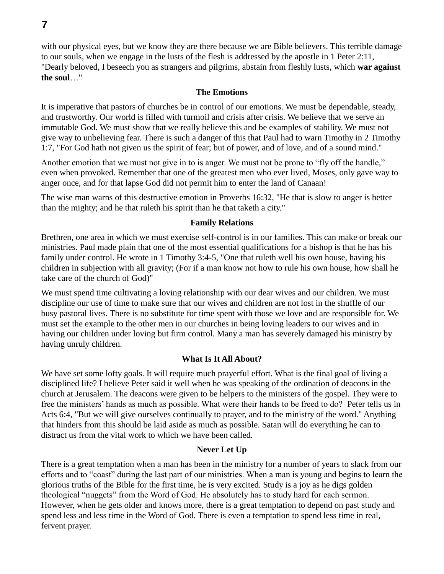with our physical eyes, but we know they are there because we are Bible believers. This terrible damage to our souls, when we engage in the lusts of the flesh is addressed by the apostle in 1 Peter 2:11, "Dearly beloved, I beseech you as strangers and pilgrims, abstain from fleshly lusts, which **war against the soul**…"

### **The Emotions**

It is imperative that pastors of churches be in control of our emotions. We must be dependable, steady, and trustworthy. Our world is filled with turmoil and crisis after crisis. We believe that we serve an immutable God. We must show that we really believe this and be examples of stability. We must not give way to unbelieving fear. There is such a danger of this that Paul had to warn Timothy in 2 Timothy 1:7, "For God hath not given us the spirit of fear; but of power, and of love, and of a sound mind."

Another emotion that we must not give in to is anger. We must not be prone to "fly off the handle," even when provoked. Remember that one of the greatest men who ever lived, Moses, only gave way to anger once, and for that lapse God did not permit him to enter the land of Canaan!

The wise man warns of this destructive emotion in Proverbs 16:32, "He that is slow to anger is better than the mighty; and he that ruleth his spirit than he that taketh a city."

#### **Family Relations**

Brethren, one area in which we must exercise self-control is in our families. This can make or break our ministries. Paul made plain that one of the most essential qualifications for a bishop is that he has his family under control. He wrote in 1 Timothy 3:4-5, "One that ruleth well his own house, having his children in subjection with all gravity; (For if a man know not how to rule his own house, how shall he take care of the church of God)"

We must spend time cultivating a loving relationship with our dear wives and our children. We must discipline our use of time to make sure that our wives and children are not lost in the shuffle of our busy pastoral lives. There is no substitute for time spent with those we love and are responsible for. We must set the example to the other men in our churches in being loving leaders to our wives and in having our children under loving but firm control. Many a man has severely damaged his ministry by having unruly children.

### **What Is It All About?**

We have set some lofty goals. It will require much prayerful effort. What is the final goal of living a disciplined life? I believe Peter said it well when he was speaking of the ordination of deacons in the church at Jerusalem. The deacons were given to be helpers to the ministers of the gospel. They were to free the ministers' hands as much as possible. What were their hands to be freed to do? Peter tells us in Acts 6:4, "But we will give ourselves continually to prayer, and to the ministry of the word." Anything that hinders from this should be laid aside as much as possible. Satan will do everything he can to distract us from the vital work to which we have been called.

### **Never Let Up**

There is a great temptation when a man has been in the ministry for a number of years to slack from our efforts and to "coast" during the last part of our ministries. When a man is young and begins to learn the glorious truths of the Bible for the first time, he is very excited. Study is a joy as he digs golden theological "nuggets" from the Word of God. He absolutely has to study hard for each sermon. However, when he gets older and knows more, there is a great temptation to depend on past study and spend less and less time in the Word of God. There is even a temptation to spend less time in real, fervent prayer.